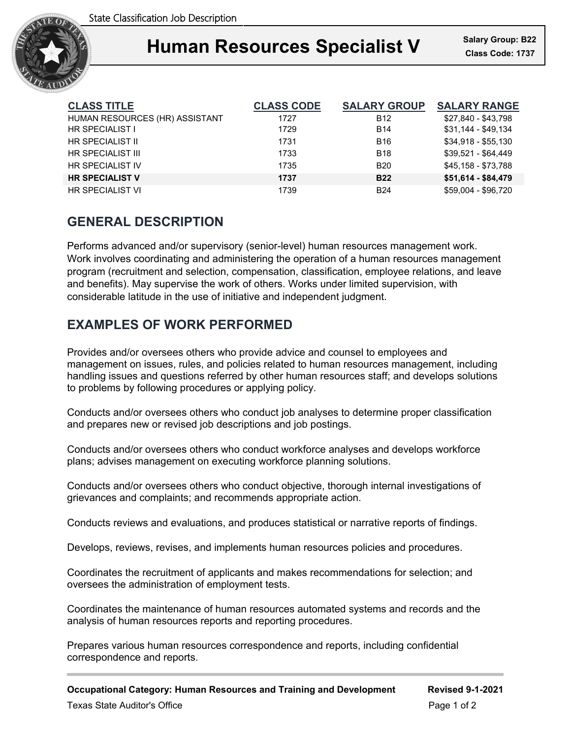

# **Human Resources Specialist V** Salary Group: B22

| <b>CLASS TITLE</b>             | <b>CLASS CODE</b> | <b>SALARY GROUP</b> | <b>SALARY RANGE</b> |
|--------------------------------|-------------------|---------------------|---------------------|
| HUMAN RESOURCES (HR) ASSISTANT | 1727              | <b>B12</b>          | \$27.840 - \$43.798 |
| HR SPECIALIST I                | 1729              | <b>B14</b>          | \$31,144 - \$49,134 |
| HR SPECIALIST II               | 1731              | B <sub>16</sub>     | \$34.918 - \$55.130 |
| HR SPECIALIST III              | 1733              | <b>B18</b>          | $$39.521 - $64.449$ |
| HR SPECIALIST IV               | 1735              | <b>B20</b>          | \$45.158 - \$73.788 |
| <b>HR SPECIALIST V</b>         | 1737              | <b>B22</b>          | \$51,614 - \$84,479 |
| <b>HR SPECIALIST VI</b>        | 1739              | <b>B24</b>          | \$59,004 - \$96,720 |

# **GENERAL DESCRIPTION**

Performs advanced and/or supervisory (senior-level) human resources management work. Work involves coordinating and administering the operation of a human resources management program (recruitment and selection, compensation, classification, employee relations, and leave and benefits). May supervise the work of others. Works under limited supervision, with considerable latitude in the use of initiative and independent judgment.

# **EXAMPLES OF WORK PERFORMED**

Provides and/or oversees others who provide advice and counsel to employees and management on issues, rules, and policies related to human resources management, including handling issues and questions referred by other human resources staff; and develops solutions to problems by following procedures or applying policy.

Conducts and/or oversees others who conduct job analyses to determine proper classification and prepares new or revised job descriptions and job postings.

Conducts and/or oversees others who conduct workforce analyses and develops workforce plans; advises management on executing workforce planning solutions.

Conducts and/or oversees others who conduct objective, thorough internal investigations of grievances and complaints; and recommends appropriate action.

Conducts reviews and evaluations, and produces statistical or narrative reports of findings.

Develops, reviews, revises, and implements human resources policies and procedures.

Coordinates the recruitment of applicants and makes recommendations for selection; and oversees the administration of employment tests.

Coordinates the maintenance of human resources automated systems and records and the analysis of human resources reports and reporting procedures.

Prepares various human resources correspondence and reports, including confidential correspondence and reports.

**Occupational Category: Human Resources and Training and Development Revised 9-1-2021**